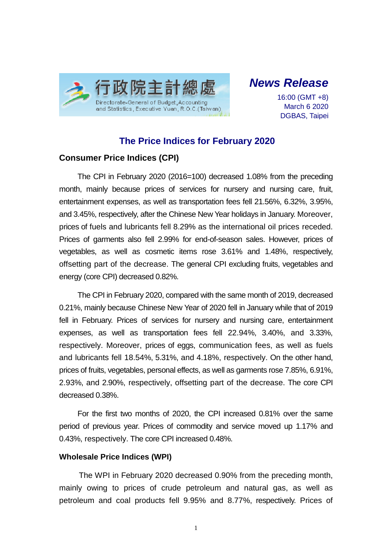

# *News Release*

16:00 (GMT +8) March 6 2020 DGBAS, Taipei

## **The Price Indices for February 2020**

### **Consumer Price Indices (CPI)**

The CPI in February 2020 (2016=100) decreased 1.08% from the preceding month, mainly because prices of services for nursery and nursing care, fruit, entertainment expenses, as well as transportation fees fell 21.56%, 6.32%, 3.95%, and 3.45%, respectively, after the Chinese New Year holidays in January. Moreover, prices of fuels and lubricants fell 8.29% as the international oil prices receded. Prices of garments also fell 2.99% for end-of-season sales. However, prices of vegetables, as well as cosmetic items rose 3.61% and 1.48%, respectively, offsetting part of the decrease. The general CPI excluding fruits, vegetables and energy (core CPI) decreased 0.82%.

The CPI in February 2020, compared with the same month of 2019, decreased 0.21%, mainly because Chinese New Year of 2020 fell in January while that of 2019 fell in February. Prices of services for nursery and nursing care, entertainment expenses, as well as transportation fees fell 22.94%, 3.40%, and 3.33%, respectively. Moreover, prices of eggs, communication fees, as well as fuels and lubricants fell 18.54%, 5.31%, and 4.18%, respectively. On the other hand, prices of fruits, vegetables, personal effects, as well as garments rose 7.85%, 6.91%, 2.93%, and 2.90%, respectively, offsetting part of the decrease. The core CPI decreased 0.38%.

For the first two months of 2020, the CPI increased 0.81% over the same period of previous year. Prices of commodity and service moved up 1.17% and 0.43%, respectively. The core CPI increased 0.48%.

#### **Wholesale Price Indices (WPI)**

The WPI in February 2020 decreased 0.90% from the preceding month, mainly owing to prices of crude petroleum and natural gas, as well as petroleum and coal products fell 9.95% and 8.77%, respectively. Prices of